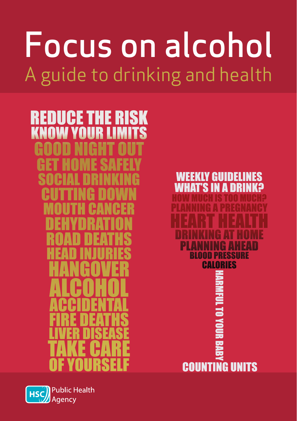# Focus on alcohol A guide to drinking and health





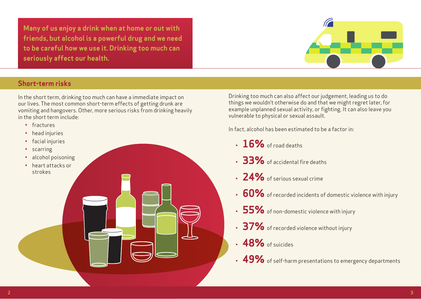**Many of us enjoy a drink when at home or out with friends, but alcohol is a powerful drug and we need to be careful how we use it. Drinking too much can seriously affect our health.**



#### **Short-term risks**

In the short term, drinking too much can have a immediate impact on our lives. The most common short-term effects of getting drunk are vomiting and hangovers. Other, more serious risks from drinking heavily in the short term include:

- fractures
- head injuries
- facial injuries
- scarring
- alcohol poisoning
- heart attacks or strokes

Drinking too much can also affect our judgement, leading us to do things we wouldn't otherwise do and that we might regret later, for example unplanned sexual activity, or fighting. It can also leave you vulnerable to physical or sexual assault.

In fact, alcohol has been estimated to be a factor in:

- $\cdot$  16% of road deaths
- **33%** of accidental fire deaths
- **24%** of serious sexual crime
- **60%** of recorded incidents of domestic violence with injury
- **55%** of non-domestic violence with injury
- **37%** of recorded violence without injury
- **48%** of suicides
- **49%** of self-harm presentations to emergency departments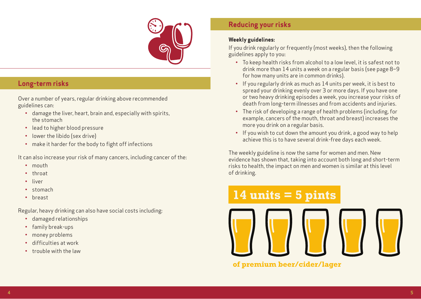

#### **Long-term risks**

Over a number of years, regular drinking above recommended guidelines can:

- damage the liver, heart, brain and, especially with spirits, the stomach
- lead to higher blood pressure
- lower the libido (sex drive)
- make it harder for the body to fight off infections

It can also increase your risk of many cancers, including cancer of the:

- mouth
- throat
- liver
- stomach
- breast

Regular, heavy drinking can also have social costs including:

- damaged relationships
- family break-ups
- money problems
- difficulties at work
- trouble with the law

### **Reducing your risks**

#### **Weekly guidelines:**

If you drink regularly or frequently (most weeks), then the following guidelines apply to you:

- To keep health risks from alcohol to a low level, it is safest not to drink more than 14 units a week on a regular basis (see page 8–9 for how many units are in common drinks).
- If you regularly drink as much as 14 units per week, it is best to spread your drinking evenly over 3 or more days. If you have one or two heavy drinking episodes a week, you increase your risks of death from long-term illnesses and from accidents and injuries.
- The risk of developing a range of health problems (including, for example, cancers of the mouth, throat and breast) increases the more you drink on a regular basis.
- If you wish to cut down the amount you drink, a good way to help achieve this is to have several drink-free days each week.

The weekly guideline is now the same for women and men. New evidence has shown that, taking into account both long and short-term risks to health, the impact on men and women is similar at this level of drinking.

## **14 units = 5 pints**

**of premium beer/cider/lager**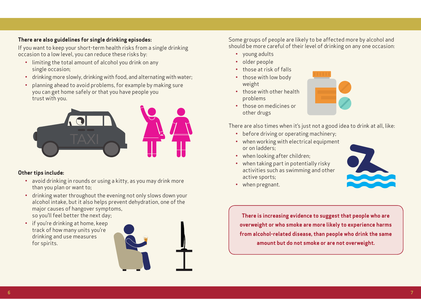#### **There are also guidelines for single drinking episodes:**

If you want to keep your short-term health risks from a single drinking occasion to a low level, you can reduce these risks by:

- limiting the total amount of alcohol you drink on any single occasion;
- drinking more slowly, drinking with food, and alternating with water;
- planning ahead to avoid problems, for example by making sure you can get home safely or that you have people you trust with you.



#### **Other tips include:**

- avoid drinking in rounds or using a kitty, as you may drink more than you plan or want to;
- drinking water throughout the evening not only slows down your alcohol intake, but it also helps prevent dehydration, one of the major causes of hangover symptoms, so you'll feel better the next day;
- if you're drinking at home, keep track of how many units you're drinking and use measures for spirits.



Some groups of people are likely to be affected more by alcohol and should be more careful of their level of drinking on any one occasion:

- young adults
- older people
- those at risk of falls
- those with low body weight
- those with other health problems
- those on medicines or other drugs



There are also times when it's just not a good idea to drink at all, like:

- before driving or operating machinery;
- when working with electrical equipment or on ladders;
- when looking after children;
- when taking part in potentially risky activities such as swimming and other active sports;



• when pregnant.

**There is increasing evidence to suggest that people who are overweight or who smoke are more likely to experience harms from alcohol-related disease, than people who drink the same amount but do not smoke or are not overweight.**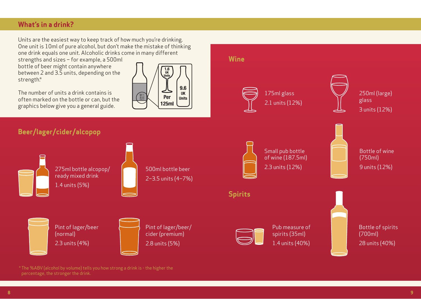#### **What's in a drink?**

Units are the easiest way to keep track of how much you're drinking. One unit is 10ml of pure alcohol, but don't make the mistake of thinking one drink equals one unit. Alcoholic drinks come in many different

strengths and sizes – for example, a 500ml bottle of beer might contain anywhere between 2 and 3.5 units, depending on the strength.\*



often marked on the bottle or can, but the graphics below give you a general guide.

**Beer/lager/cider/alcopop**



**Wine**

\* The %ABV (alcohol by volume) tells you how strong a drink is - the higher the percentage, the stronger the drink.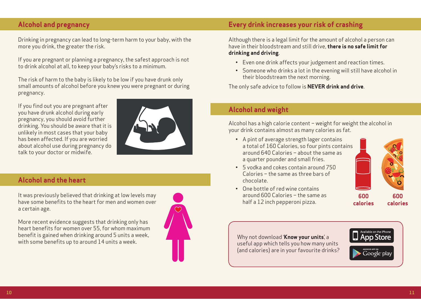#### **Alcohol and pregnancy**

Drinking in pregnancy can lead to long-term harm to your baby, with the more you drink, the greater the risk.

If you are pregnant or planning a pregnancy, the safest approach is not to drink alcohol at all, to keep your baby's risks to a minimum.

The risk of harm to the baby is likely to be low if you have drunk only small amounts of alcohol before you knew you were pregnant or during pregnancy.

If you find out you are pregnant after you have drunk alcohol during early pregnancy, you should avoid further drinking. You should be aware that it is unlikely in most cases that your baby has been affected. If you are worried about alcohol use during pregnancy do talk to your doctor or midwife.



#### **Alcohol and the heart**

It was previously believed that drinking at low levels may have some benefits to the heart for men and women over a certain age.

More recent evidence suggests that drinking only has heart benefits for women over 55, for whom maximum benefit is gained when drinking around 5 units a week, with some benefits up to around 14 units a week.



#### **Every drink increases your risk of crashing**

Although there is a legal limit for the amount of alcohol a person can have in their bloodstream and still drive, **there is no safe limit for drinking and driving**.

- Even one drink affects your judgement and reaction times.
- Someone who drinks a lot in the evening will still have alcohol in their bloodstream the next morning.

The only safe advice to follow is **NEVER drink and drive**.

#### **Alcohol and weight**

Alcohol has a high calorie content – weight for weight the alcohol in your drink contains almost as many calories as fat.

- A pint of average strength lager contains a total of 160 Calories, so four pints contains around 640 Calories – about the same as a quarter pounder and small fries.
- 5 vodka and cokes contain around 750 Calories – the same as three bars of chocolate.
- One bottle of red wine contains around 600 Calories – the same as half a 12 inch pepperoni pizza.



**600 calories**

**600 calories**

#### Why not download '**Know your units**', a useful app which tells you how many units (and calories) are in your favourite drinks?